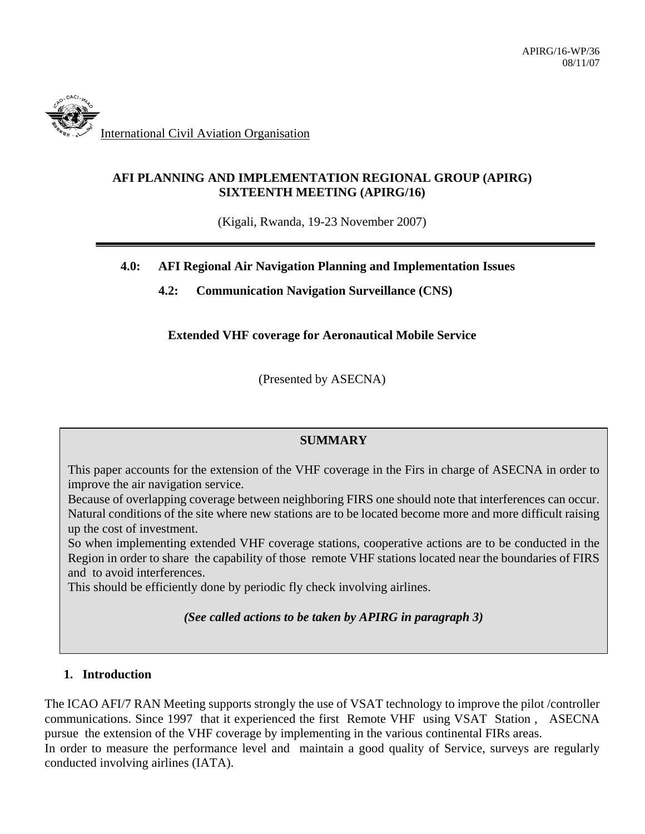

# **AFI PLANNING AND IMPLEMENTATION REGIONAL GROUP (APIRG) SIXTEENTH MEETING (APIRG/16)**

(Kigali, Rwanda, 19-23 November 2007)

### **4.0: AFI Regional Air Navigation Planning and Implementation Issues**

 **4.2: Communication Navigation Surveillance (CNS)** 

### **Extended VHF coverage for Aeronautical Mobile Service**

(Presented by ASECNA)

### **SUMMARY**

 This paper accounts for the extension of the VHF coverage in the Firs in charge of ASECNA in order to improve the air navigation service.

Because of overlapping coverage between neighboring FIRS one should note that interferences can occur. Natural conditions of the site where new stations are to be located become more and more difficult raising up the cost of investment.

So when implementing extended VHF coverage stations, cooperative actions are to be conducted in the Region in order to share the capability of those remote VHF stations located near the boundaries of FIRS and to avoid interferences.

This should be efficiently done by periodic fly check involving airlines.

*(See called actions to be taken by APIRG in paragraph 3)* 

### **1. Introduction**

The ICAO AFI/7 RAN Meeting supports strongly the use of VSAT technology to improve the pilot /controller communications. Since 1997 that it experienced the first Remote VHF using VSAT Station , ASECNA pursue the extension of the VHF coverage by implementing in the various continental FIRs areas. In order to measure the performance level and maintain a good quality of Service, surveys are regularly conducted involving airlines (IATA).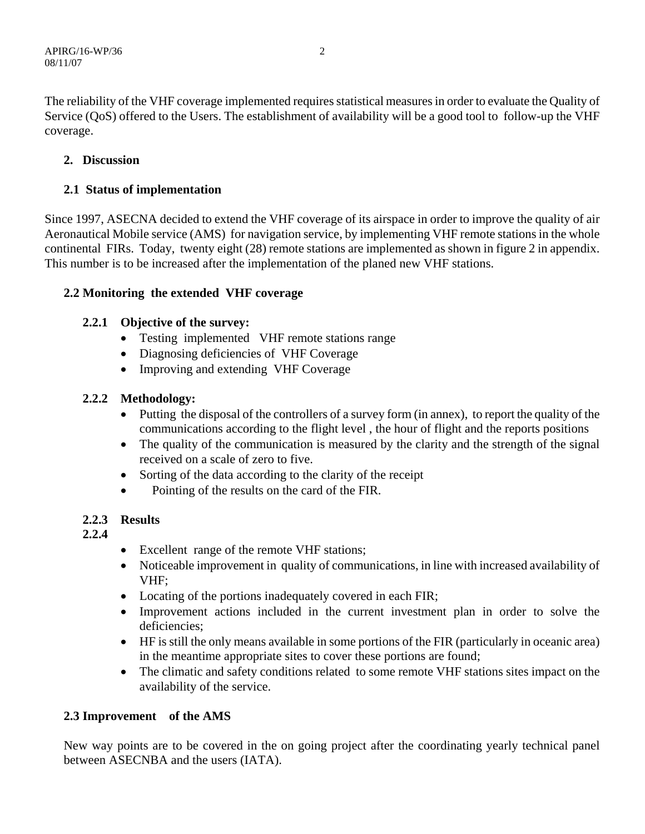The reliability of the VHF coverage implemented requires statistical measures in order to evaluate the Quality of Service (QoS) offered to the Users. The establishment of availability will be a good tool to follow-up the VHF coverage.

# **2. Discussion**

# **2.1 Status of implementation**

Since 1997, ASECNA decided to extend the VHF coverage of its airspace in order to improve the quality of air Aeronautical Mobile service (AMS) for navigation service, by implementing VHF remote stations in the whole continental FIRs. Today, twenty eight (28) remote stations are implemented as shown in figure 2 in appendix. This number is to be increased after the implementation of the planed new VHF stations.

# **2.2 Monitoring the extended VHF coverage**

# **2.2.1 Objective of the survey:**

- Testing implemented VHF remote stations range
- Diagnosing deficiencies of VHF Coverage
- Improving and extending VHF Coverage

# **2.2.2 Methodology:**

- Putting the disposal of the controllers of a survey form (in annex), to report the quality of the communications according to the flight level , the hour of flight and the reports positions
- The quality of the communication is measured by the clarity and the strength of the signal received on a scale of zero to five.
- Sorting of the data according to the clarity of the receipt
- Pointing of the results on the card of the FIR.

# **2.2.3 Results**

**2.2.4**

- Excellent range of the remote VHF stations;
- Noticeable improvement in quality of communications, in line with increased availability of VHF;
- Locating of the portions inadequately covered in each FIR;
- Improvement actions included in the current investment plan in order to solve the deficiencies;
- HF is still the only means available in some portions of the FIR (particularly in oceanic area) in the meantime appropriate sites to cover these portions are found;
- The climatic and safety conditions related to some remote VHF stations sites impact on the availability of the service.

# **2.3 Improvement of the AMS**

New way points are to be covered in the on going project after the coordinating yearly technical panel between ASECNBA and the users (IATA).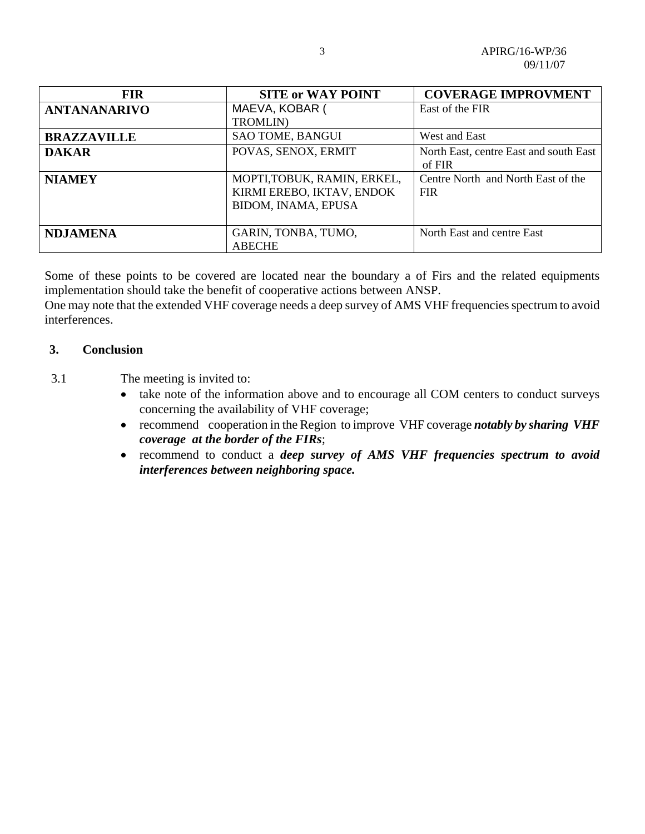| <b>FIR</b>         | <b>SITE or WAY POINT</b>                                                        | <b>COVERAGE IMPROVMENT</b>                       |
|--------------------|---------------------------------------------------------------------------------|--------------------------------------------------|
| ANTANANARIVO       | MAEVA, KOBAR (<br><b>TROMLIN</b> )                                              | East of the FIR                                  |
| <b>BRAZZAVILLE</b> | SAO TOME, BANGUI                                                                | West and East                                    |
| <b>DAKAR</b>       | POVAS, SENOX, ERMIT                                                             | North East, centre East and south East<br>of FIR |
| <b>NIAMEY</b>      | MOPTI, TOBUK, RAMIN, ERKEL,<br>KIRMI EREBO, IKTAV, ENDOK<br>BIDOM, INAMA, EPUSA | Centre North and North East of the<br><b>FIR</b> |
| <b>NDJAMENA</b>    | GARIN, TONBA, TUMO,<br><b>ABECHE</b>                                            | North East and centre East                       |

Some of these points to be covered are located near the boundary a of Firs and the related equipments implementation should take the benefit of cooperative actions between ANSP.

One may note that the extended VHF coverage needs a deep survey of AMS VHF frequencies spectrum to avoid interferences.

### **3. Conclusion**

3.1 The meeting is invited to:

- take note of the information above and to encourage all COM centers to conduct surveys concerning the availability of VHF coverage;
- recommend cooperation in the Region to improve VHF coverage *notably by sharing VHF coverage at the border of the FIRs*;
- recommend to conduct a *deep survey of AMS VHF frequencies spectrum to avoid interferences between neighboring space.*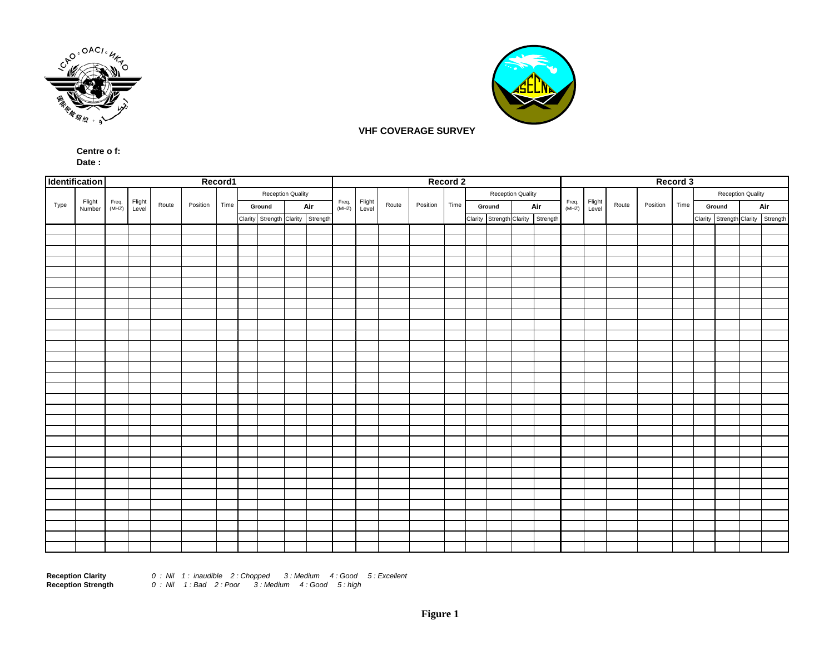



#### **VHF COVERAGE SURVEY**

#### **Centre o f: Date :**

|      | Identification   | Record1        |                 |       |          |      |                   |               |  |                                   |                 |       |          |      | Record 2          |                                   |  |                | Record 3        |       |          |      |                   |     |  |  |                                   |
|------|------------------|----------------|-----------------|-------|----------|------|-------------------|---------------|--|-----------------------------------|-----------------|-------|----------|------|-------------------|-----------------------------------|--|----------------|-----------------|-------|----------|------|-------------------|-----|--|--|-----------------------------------|
|      |                  |                |                 |       |          |      | Reception Quality |               |  | Freq.<br>(MHZ)                    | Flight<br>Level | Route | Position | Time | Reception Quality |                                   |  | Freq.<br>(MHZ) | Flight<br>Level | Route | Position | Time | Reception Quality |     |  |  |                                   |
| Type | Flight<br>Number |                | Flight<br>Level | Route | Position | Time |                   | Air<br>Ground |  |                                   |                 |       |          |      | Ground<br>Air     |                                   |  |                |                 |       |          |      | Ground            | Air |  |  |                                   |
|      |                  | Freq.<br>(MHZ) |                 |       |          |      |                   |               |  | Clarity Strength Clarity Strength |                 |       |          |      |                   | Clarity Strength Clarity Strength |  |                |                 |       |          |      |                   |     |  |  | Clarity Strength Clarity Strength |
|      |                  |                |                 |       |          |      |                   |               |  |                                   |                 |       |          |      |                   |                                   |  |                |                 |       |          |      |                   |     |  |  |                                   |
|      |                  |                |                 |       |          |      |                   |               |  |                                   |                 |       |          |      |                   |                                   |  |                |                 |       |          |      |                   |     |  |  |                                   |
|      |                  |                |                 |       |          |      |                   |               |  |                                   |                 |       |          |      |                   |                                   |  |                |                 |       |          |      |                   |     |  |  |                                   |
|      |                  |                |                 |       |          |      |                   |               |  |                                   |                 |       |          |      |                   |                                   |  |                |                 |       |          |      |                   |     |  |  |                                   |
|      |                  |                |                 |       |          |      |                   |               |  |                                   |                 |       |          |      |                   |                                   |  |                |                 |       |          |      |                   |     |  |  |                                   |
|      |                  |                |                 |       |          |      |                   |               |  |                                   |                 |       |          |      |                   |                                   |  |                |                 |       |          |      |                   |     |  |  |                                   |
|      |                  |                |                 |       |          |      |                   |               |  |                                   |                 |       |          |      |                   |                                   |  |                |                 |       |          |      |                   |     |  |  |                                   |
|      |                  |                |                 |       |          |      |                   |               |  |                                   |                 |       |          |      |                   |                                   |  |                |                 |       |          |      |                   |     |  |  |                                   |
|      |                  |                |                 |       |          |      |                   |               |  |                                   |                 |       |          |      |                   |                                   |  |                |                 |       |          |      |                   |     |  |  |                                   |
|      |                  |                |                 |       |          |      |                   |               |  |                                   |                 |       |          |      |                   |                                   |  |                |                 |       |          |      |                   |     |  |  |                                   |
|      |                  |                |                 |       |          |      |                   |               |  |                                   |                 |       |          |      |                   |                                   |  |                |                 |       |          |      |                   |     |  |  |                                   |
|      |                  |                |                 |       |          |      |                   |               |  |                                   |                 |       |          |      |                   |                                   |  |                |                 |       |          |      |                   |     |  |  |                                   |
|      |                  |                |                 |       |          |      |                   |               |  |                                   |                 |       |          |      |                   |                                   |  |                |                 |       |          |      |                   |     |  |  |                                   |
|      |                  |                |                 |       |          |      |                   |               |  |                                   |                 |       |          |      |                   |                                   |  |                |                 |       |          |      |                   |     |  |  |                                   |
|      |                  |                |                 |       |          |      |                   |               |  |                                   |                 |       |          |      |                   |                                   |  |                |                 |       |          |      |                   |     |  |  |                                   |
|      |                  |                |                 |       |          |      |                   |               |  |                                   |                 |       |          |      |                   |                                   |  |                |                 |       |          |      |                   |     |  |  |                                   |
|      |                  |                |                 |       |          |      |                   |               |  |                                   |                 |       |          |      |                   |                                   |  |                |                 |       |          |      |                   |     |  |  |                                   |
|      |                  |                |                 |       |          |      |                   |               |  |                                   |                 |       |          |      |                   |                                   |  |                |                 |       |          |      |                   |     |  |  |                                   |
|      |                  |                |                 |       |          |      |                   |               |  |                                   |                 |       |          |      |                   |                                   |  |                |                 |       |          |      |                   |     |  |  |                                   |
|      |                  |                |                 |       |          |      |                   |               |  |                                   |                 |       |          |      |                   |                                   |  |                |                 |       |          |      |                   |     |  |  |                                   |
|      |                  |                |                 |       |          |      |                   |               |  |                                   |                 |       |          |      |                   |                                   |  |                |                 |       |          |      |                   |     |  |  |                                   |
|      |                  |                |                 |       |          |      |                   |               |  |                                   |                 |       |          |      |                   |                                   |  |                |                 |       |          |      |                   |     |  |  |                                   |
|      |                  |                |                 |       |          |      |                   |               |  |                                   |                 |       |          |      |                   |                                   |  |                |                 |       |          |      |                   |     |  |  |                                   |
|      |                  |                |                 |       |          |      |                   |               |  |                                   |                 |       |          |      |                   |                                   |  |                |                 |       |          |      |                   |     |  |  |                                   |
|      |                  |                |                 |       |          |      |                   |               |  |                                   |                 |       |          |      |                   |                                   |  |                |                 |       |          |      |                   |     |  |  |                                   |
|      |                  |                |                 |       |          |      |                   |               |  |                                   |                 |       |          |      |                   |                                   |  |                |                 |       |          |      |                   |     |  |  |                                   |
|      |                  |                |                 |       |          |      |                   |               |  |                                   |                 |       |          |      |                   |                                   |  |                |                 |       |          |      |                   |     |  |  |                                   |
|      |                  |                |                 |       |          |      |                   |               |  |                                   |                 |       |          |      |                   |                                   |  |                |                 |       |          |      |                   |     |  |  |                                   |
|      |                  |                |                 |       |          |      |                   |               |  |                                   |                 |       |          |      |                   |                                   |  |                |                 |       |          |      |                   |     |  |  |                                   |
|      |                  |                |                 |       |          |      |                   |               |  |                                   |                 |       |          |      |                   |                                   |  |                |                 |       |          |      |                   |     |  |  |                                   |

**Reception Clarity** *0 : Nil 1 : inaudible 2 : Chopped 3 : Medium 4 : Good 5 : Excellent* **Reception Strength** *0 : Nil 1 : Bad 2 : Poor 3 : Medium 4 : Good 5 : high*